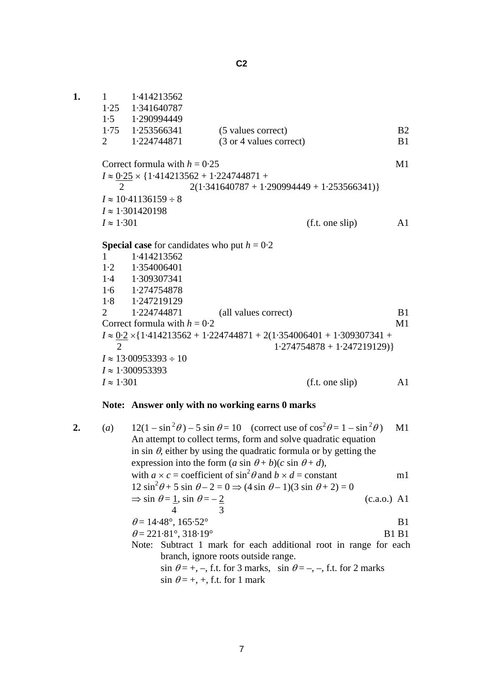**C2** 

| 1. | 1                 | 1.414213562                     |                                                                                    |                             |                |
|----|-------------------|---------------------------------|------------------------------------------------------------------------------------|-----------------------------|----------------|
|    |                   | $1.25$ $1.341640787$            |                                                                                    |                             |                |
|    |                   | $1.5$ 1.290994449               |                                                                                    |                             |                |
|    |                   | $1.75$ $1.253566341$            | (5 values correct)                                                                 |                             | <b>B2</b>      |
|    | 2                 | 1.224744871                     | (3 or 4 values correct)                                                            |                             | B <sub>1</sub> |
|    |                   | Correct formula with $h = 0.25$ |                                                                                    |                             | M1             |
|    |                   |                                 | $I \approx 0.25 \times \{1.414213562 + 1.224744871 +$                              |                             |                |
|    | 2                 |                                 | $2(1.341640787 + 1.290994449 + 1.253566341)$                                       |                             |                |
|    |                   | $I \approx 10.41136159 \div 8$  |                                                                                    |                             |                |
|    |                   | $I \approx 1.301420198$         |                                                                                    |                             |                |
|    | $I \approx 1.301$ |                                 |                                                                                    | (f.t. one slip)             | A1             |
|    |                   |                                 | <b>Special case</b> for candidates who put $h = 0.2$                               |                             |                |
|    | $\mathbf{1}$      | 1.414213562                     |                                                                                    |                             |                |
|    |                   | $1.2 \quad 1.354006401$         |                                                                                    |                             |                |
|    |                   | 1.4 1.309307341                 |                                                                                    |                             |                |
|    |                   | $1.6$ $1.274754878$             |                                                                                    |                             |                |
|    |                   | $1.8 \t1.247219129$             |                                                                                    |                             |                |
|    | $\overline{2}$    | 1.224744871                     | (all values correct)                                                               |                             | B <sub>1</sub> |
|    |                   | Correct formula with $h = 0.2$  |                                                                                    |                             | M1             |
|    |                   |                                 | $I \approx 0.2 \times \{1.414213562 + 1.224744871 + 2(1.354006401 + 1.309307341 +$ |                             |                |
|    | $\overline{2}$    |                                 |                                                                                    | $1.274754878 + 1.247219129$ |                |
|    |                   | $I \approx 13.00953393 \div 10$ |                                                                                    |                             |                |
|    |                   | $I \approx 1.300953393$         |                                                                                    |                             |                |
|    | $I \approx 1.301$ |                                 |                                                                                    | (f.t. one slip)             | A1             |
|    |                   |                                 |                                                                                    |                             |                |

## **Note: Answer only with no working earns 0 marks**

| $\overline{2}$ . | (a) | $12(1 - \sin^2 \theta) - 5 \sin \theta = 10$ (correct use of $\cos^2 \theta = 1 - \sin^2 \theta$ ) | M1             |
|------------------|-----|----------------------------------------------------------------------------------------------------|----------------|
|                  |     | An attempt to collect terms, form and solve quadratic equation                                     |                |
|                  |     | in sin $\theta$ , either by using the quadratic formula or by getting the                          |                |
|                  |     | expression into the form $(a \sin \theta + b)(c \sin \theta + d)$ ,                                |                |
|                  |     | with $a \times c$ = coefficient of $\sin^2 \theta$ and $b \times d$ = constant                     | ml             |
|                  |     | $12 \sin^2 \theta + 5 \sin \theta - 2 = 0 \Rightarrow (4 \sin \theta - 1)(3 \sin \theta + 2) = 0$  |                |
|                  |     | $\Rightarrow$ sin $\theta = \underline{1}$ , sin $\theta = -\underline{2}$                         | $(c.a.o.)$ A1  |
|                  |     | 4                                                                                                  |                |
|                  |     | $\theta$ = 14.48°, 165.52°                                                                         | B <sub>1</sub> |
|                  |     | $\theta = 221.81^{\circ}, 318.19^{\circ}$                                                          | <b>B1 B1</b>   |
|                  |     | Note: Subtract 1 mark for each additional root in range for each                                   |                |
|                  |     | branch, ignore roots outside range.                                                                |                |
|                  |     | $\sin \theta = +, -,$ f.t. for 3 marks, $\sin \theta = -, -,$ f.t. for 2 marks                     |                |
|                  |     | $\sin \theta = +, +,$ f.t. for 1 mark                                                              |                |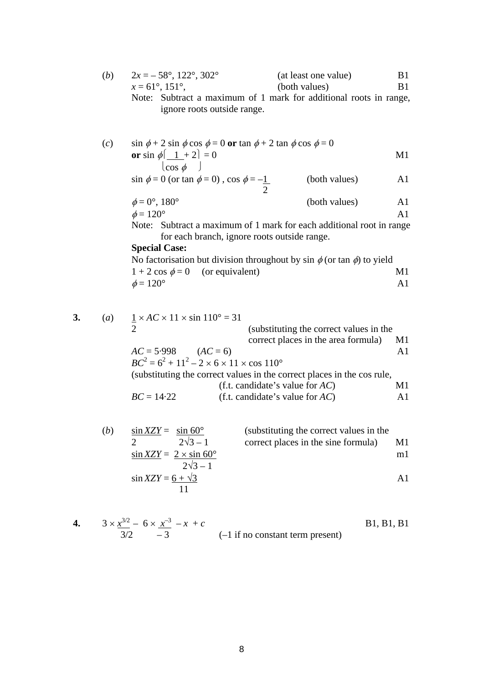| (b) | $2x = -58^{\circ}, 122^{\circ}, 302^{\circ}$                      | (at least one value) | B1    |
|-----|-------------------------------------------------------------------|----------------------|-------|
|     | $x = 61^{\circ}, 151^{\circ}$                                     | (both values)        | - B 1 |
|     | Note: Subtract a maximum of 1 mark for additional roots in range, |                      |       |
|     | ignore roots outside range.                                       |                      |       |

(c) 
$$
\sin \phi + 2 \sin \phi \cos \phi = 0
$$
 or  $\tan \phi + 2 \tan \phi \cos \phi = 0$   
or  $\sin \phi \left( \frac{1}{\cos \phi} + 2 \right) = 0$  M1

 $\sin \phi = 0$  (or tan  $\phi = 0$ ),  $\cos \phi = -1$  (both values) A1 2

$$
\phi = 0^{\circ}, 180^{\circ} \tag{both values} \tag{A1}
$$

$$
\phi = 120^{\circ}
$$
 A1

Note: Subtract a maximum of 1 mark for each additional root in range for each branch, ignore roots outside range.

## **Special Case:**

No factorisation but division throughout by sin  $\phi$  (or tan  $\phi$ ) to yield  $1 + 2 \cos \phi = 0$  (or equivalent) M1  $\phi = 120^\circ$  A1

| 3. | $\left(a\right)$ | $1 \times AC \times 11 \times \sin 110^\circ = 31$                       |                                                                         |                |
|----|------------------|--------------------------------------------------------------------------|-------------------------------------------------------------------------|----------------|
|    |                  |                                                                          | (substituting the correct values in the                                 |                |
|    |                  |                                                                          | correct places in the area formula)                                     | M1             |
|    |                  | $AC = 5.998$ $(AC = 6)$                                                  |                                                                         | $\mathbf{A}$ 1 |
|    |                  | $BC^{2} = 6^{2} + 11^{2} - 2 \times 6 \times 11 \times \cos 110^{\circ}$ |                                                                         |                |
|    |                  |                                                                          | (substituting the correct values in the correct places in the cos rule, |                |
|    |                  |                                                                          | (f.t. candidate's value for $AC$ )                                      | M1             |
|    |                  | $BC = 14.22$                                                             | (f.t. candidate's value for $AC$ )                                      | A <sub>1</sub> |
|    |                  |                                                                          |                                                                         |                |
|    |                  |                                                                          |                                                                         |                |

(b) 
$$
\frac{\sin XZY}{2} = \frac{\sin 60^{\circ}}{2\sqrt{3} - 1}
$$
 (substituting the correct values in the  
correct places in the sine formula) M1  

$$
\frac{\sin XZY}{2\sqrt{3} - 1} = \frac{2 \times \sin 60^{\circ}}{2\sqrt{3} - 1}
$$

$$
\sin XZY = \frac{6 + \sqrt{3}}{11}
$$
 A1

4. 
$$
3 \times \frac{x^{3/2}}{3/2} - 6 \times \frac{x^{-3}}{-3} - x + c
$$
   
  $(-1 \text{ if no constant term present})$  B1, B1, B1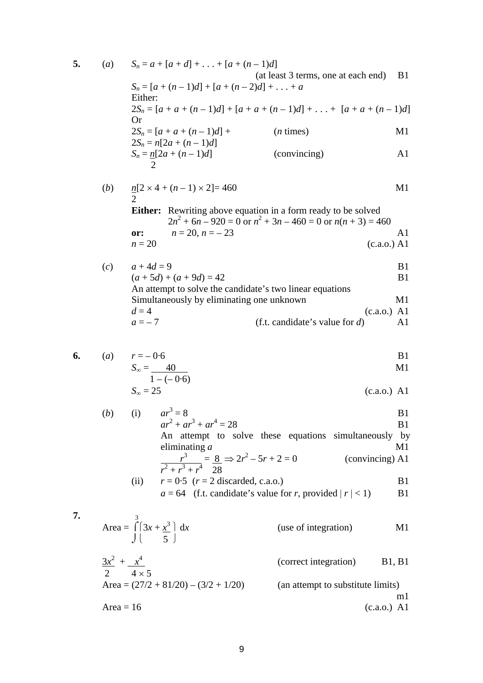5. (a) 
$$
S_n = a + [a + d] + ... + [a + (n-1)d]
$$
  
\n(a least 3 terms, one at each end) B1  
\n $S_n = [a + (n-1)d] + [a + (n-2)d] + ... + a$   
\nEither:  
\n $2S_n = [a + a + (n-1)d] + [a + a + (n-1)d] + ... + [a + a + (n-1)d]$   
\nOr  
\n $2S_n = [a + a + (n-1)d] +$  (n times) M1  
\n $2S_n = n[2a + (n-1)d]$  (conving)  
\nA1  
\n $S_n = n[2a + (n-1)d]$  (conving)  
\nA1  
\n $2$   
\nEither: Rewriting above equation in a form ready to be solved  
\n $2n^2 + 6n - 920 = 0$  or  $n^2 + 3n - 460 = 0$  or  $n(n + 3) = 460$   
\nor:  $n = 20$ ,  $n = -23$   
\n $n = 20$  (c.a.o.) A1  
\n(c)  $a + 4d = 9$   
\n $(a + 5d) + (a + 9d) = 42$   
\nA1 attempt to solve the candidate's two linear equations  
\nSimultaneously by eliminating one unknown  
\nA1  
\n $d = 4$  (c.a.o.) A1  
\n $d = 4$  (c.a.o.) A1  
\n $d = 4$  (c.a.o.) A1  
\n $d = 4$  (c.a.o.) A1

6. (a) 
$$
r = -0.6
$$
  
\n $S_{\infty} = \frac{40}{16.6 \text{ N}}$ 

$$
1 - (-0.6)
$$
  

$$
S_{\infty} = 25
$$
 (c.a.o.) A1

(b) (i) 
$$
ar^3 = 8
$$
  
\n $ar^2 + ar^3 + ar^4 = 28$   
\nAn attempt to solve these equations simultaneously by eliminating *a*  
\n $\frac{r^3}{r^2 + r^3 + r^4} = \frac{8}{28} \Rightarrow 2r^2 - 5r + 2 = 0$  (convincing) A1  
\n(ii)  $r = 0.5$  ( $r = 2$  discarded, c.a.o.)  
\nB1

$$
a = 64
$$
 (f.t. candidate's value for r, provided  $|r| < 1$ ) B1

7. Area = 
$$
\int_{1}^{3} (3x + x^3) dx
$$
 (use of integration)  
\n $\frac{3x^2}{2} + \frac{x^4}{4 \times 5}$  (correct integration)  
\nArea =  $(27/2 + 81/20) - (3/2 + 1/20)$  (an attempt to substitute limits)  
\n $\frac{1}{2}$ 

 $\overline{7}$ .

$$
Area = 16
$$
 (c.a.o.) A1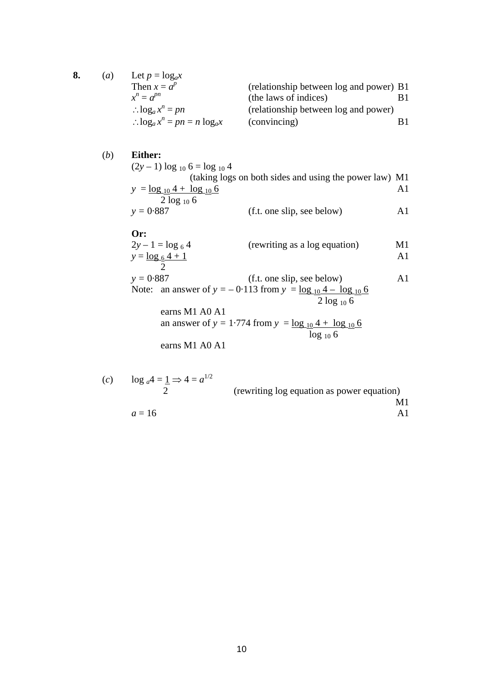| 8. | a) | Let $p = log_a x$                         |                                         |  |
|----|----|-------------------------------------------|-----------------------------------------|--|
|    |    | Then $x = a^p$                            | (relationship between log and power) B1 |  |
|    |    | $x^n \equiv a^{pn}$                       | (the laws of indices)                   |  |
|    |    | $log_a x^n = pn$                          | (relationship between log and power)    |  |
|    |    | $\therefore \log_a x^n = pn = n \log_a x$ | (convincing)                            |  |

## (*b*) **Either:**

 $(2y-1) \log_{10} 6 = \log_{10} 4$ (taking logs on both sides and using the power law) M1  $y = log_{10} 4 + log_{10} 6$  A1  $y = 0.887$ (f.t. one slip, see below) A1

## **Or:**

$$
2y - 1 = \log_6 4
$$
 (rewriting as a log equation)  
\n
$$
y = \frac{\log_6 4 + 1}{2}
$$

$$
y = 0.887
$$
 (f.t. one slip, see below)  
Note: an answer of  $y = -0.113$  from  $y = \frac{\log_{10} 4 - \log_{10} 6}{2 \log_{10} 6}$   
earns M1 A0 A1

an answer of 
$$
y = 1.774
$$
 from  $y = \frac{\log_{10} 4 + \log_{10} 6}{\log_{10} 6}$ 

earns M1 A0 A1

(c) 
$$
\log_{a} 4 = \frac{1}{2} \Rightarrow 4 = a^{1/2}
$$
 (rewriting log equation as power equation)  
\n $a = 16$  A1